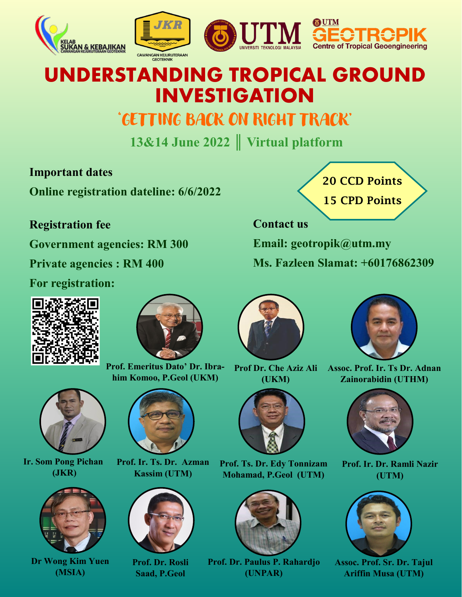

## **UNDERSTANDING TROPICAL GROUND INVESTIGATION**

### 'GETTING BACK ON RIGHT TRACK'

**13&14 June 2022 ║ Virtual platform**

#### **Important dates**

**Online registration dateline: 6/6/2022**

#### **Registration fee**

**Government agencies: RM 300**

**Private agencies : RM 400**

**For registration:**





**Prof. Emeritus Dato' Dr. Ibrahim Komoo, P.Geol (UKM)**



**Ir. Som Pong Pichan (JKR)**



**Dr Wong Kim Yuen (MSIA)**



**Prof. Ir. Ts. Dr. Azman Kassim (UTM)**



**Prof. Dr. Rosli Saad, P.Geol** 





**Prof. Ts. Dr. Edy Tonnizam Mohamad, P.Geol (UTM)**



**Prof. Dr. Paulus P. Rahardjo (UNPAR)**



**Contact us**

**Email: geotropik@utm.my Ms. Fazleen Slamat: +60176862309** 



**Assoc. Prof. Ir. Ts Dr. Adnan Zainorabidin (UTHM)**



**Prof. Ir. Dr. Ramli Nazir (UTM)**



**Assoc. Prof. Sr. Dr. Tajul Ariffin Musa (UTM)**